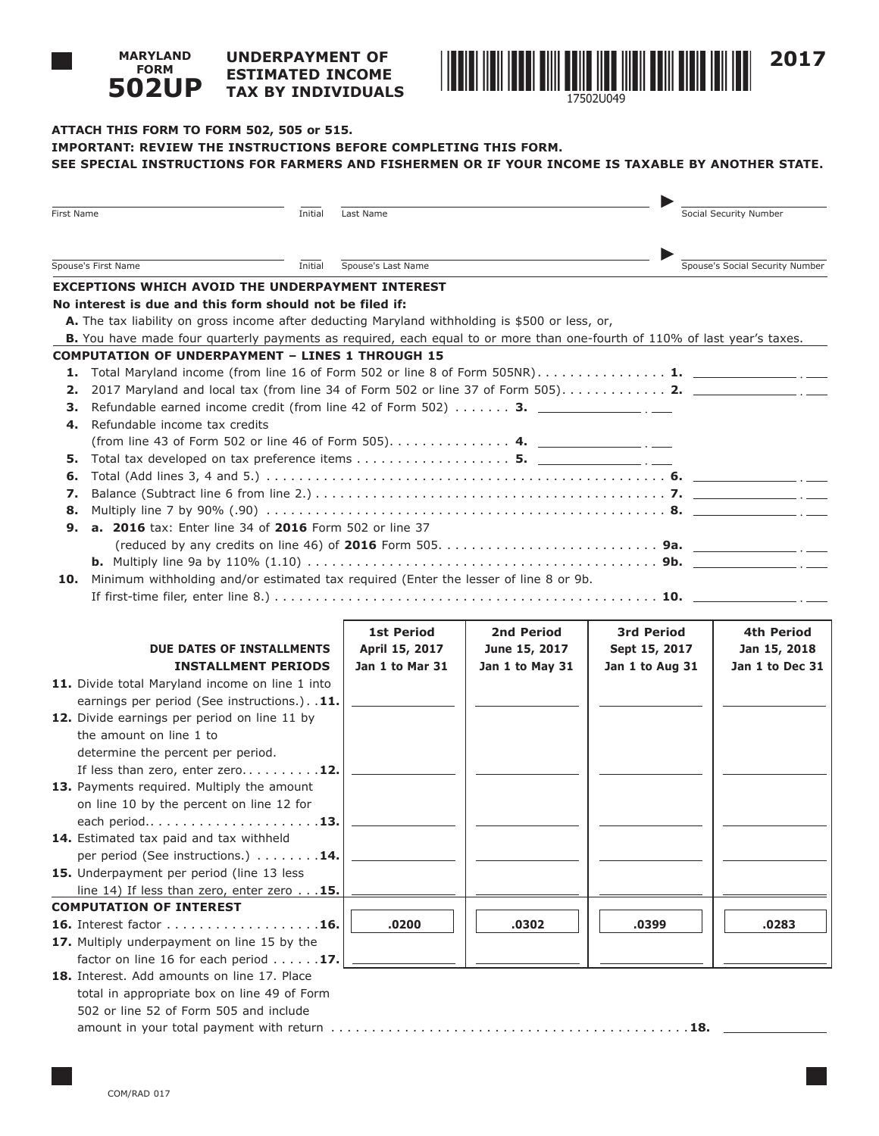#### **UNDERPAYMENT OF ESTIMATED INCOME TAX BY INDIVIDUALS 502UP**



# **ATTACH THIS FORM TO FORM 502, 505 or 515. IMPORTANT: REVIEW THE INSTRUCTIONS BEFORE COMPLETING THIS FORM. SEE SPECIAL INSTRUCTIONS FOR FARMERS AND FISHERMEN OR IF YOUR INCOME IS TAXABLE BY ANOTHER STATE.**

| First Name                                  | Initial                                                                                                                   | Last Name          |                 |                   | Social Security Number          |  |
|---------------------------------------------|---------------------------------------------------------------------------------------------------------------------------|--------------------|-----------------|-------------------|---------------------------------|--|
|                                             |                                                                                                                           |                    |                 |                   |                                 |  |
| Spouse's First Name                         | Initial                                                                                                                   | Spouse's Last Name |                 |                   | Spouse's Social Security Number |  |
|                                             | <b>EXCEPTIONS WHICH AVOID THE UNDERPAYMENT INTEREST</b>                                                                   |                    |                 |                   |                                 |  |
|                                             | No interest is due and this form should not be filed if:                                                                  |                    |                 |                   |                                 |  |
|                                             | A. The tax liability on gross income after deducting Maryland withholding is \$500 or less, or,                           |                    |                 |                   |                                 |  |
|                                             | B. You have made four quarterly payments as required, each equal to or more than one-fourth of 110% of last year's taxes. |                    |                 |                   |                                 |  |
|                                             | <b>COMPUTATION OF UNDERPAYMENT - LINES 1 THROUGH 15</b>                                                                   |                    |                 |                   |                                 |  |
| 1.                                          | Total Maryland income (from line 16 of Form 502 or line 8 of Form 505NR) 1. 1. 2010 1.                                    |                    |                 |                   |                                 |  |
| 2.                                          | 2017 Maryland and local tax (from line 34 of Form 502 or line 37 of Form 505) 2. ________________.                        |                    |                 |                   |                                 |  |
| з.                                          | Refundable earned income credit (from line 42 of Form 502) $\ldots \ldots$ 3.                                             |                    |                 |                   |                                 |  |
| Refundable income tax credits<br>4.         |                                                                                                                           |                    |                 |                   |                                 |  |
|                                             |                                                                                                                           |                    |                 |                   |                                 |  |
| 5.                                          |                                                                                                                           |                    |                 |                   |                                 |  |
| 6.                                          |                                                                                                                           |                    |                 |                   |                                 |  |
| 7.                                          |                                                                                                                           |                    |                 |                   |                                 |  |
| 8.<br>9.                                    | <b>a. 2016</b> tax: Enter line 34 of 2016 Form 502 or line 37                                                             |                    |                 |                   |                                 |  |
|                                             |                                                                                                                           |                    |                 |                   |                                 |  |
|                                             |                                                                                                                           |                    |                 |                   |                                 |  |
| 10.                                         | Minimum withholding and/or estimated tax required (Enter the lesser of line 8 or 9b.                                      |                    |                 |                   |                                 |  |
|                                             |                                                                                                                           |                    |                 |                   |                                 |  |
|                                             |                                                                                                                           |                    |                 |                   |                                 |  |
|                                             |                                                                                                                           | <b>1st Period</b>  | 2nd Period      | <b>3rd Period</b> | 4th Period                      |  |
|                                             | DUE DATES OF INSTALLMENTS                                                                                                 | April 15, 2017     | June 15, 2017   | Sept 15, 2017     | Jan 15, 2018                    |  |
|                                             | <b>INSTALLMENT PERIODS</b>                                                                                                | Jan 1 to Mar 31    | Jan 1 to May 31 | Jan 1 to Aug 31   | Jan 1 to Dec 31                 |  |
|                                             | 11. Divide total Maryland income on line 1 into                                                                           |                    |                 |                   |                                 |  |
|                                             | earnings per period (See instructions.). . 11.                                                                            |                    |                 |                   |                                 |  |
|                                             | 12. Divide earnings per period on line 11 by                                                                              |                    |                 |                   |                                 |  |
| the amount on line 1 to                     |                                                                                                                           |                    |                 |                   |                                 |  |
| determine the percent per period.           |                                                                                                                           |                    |                 |                   |                                 |  |
|                                             | If less than zero, enter zero12.                                                                                          |                    |                 |                   |                                 |  |
|                                             | 13. Payments required. Multiply the amount                                                                                |                    |                 |                   |                                 |  |
|                                             | on line 10 by the percent on line 12 for                                                                                  |                    |                 |                   |                                 |  |
|                                             |                                                                                                                           |                    |                 |                   |                                 |  |
| 14. Estimated tax paid and tax withheld     |                                                                                                                           |                    |                 |                   |                                 |  |
|                                             | per period (See instructions.) 14.                                                                                        |                    |                 |                   |                                 |  |
| 15. Underpayment per period (line 13 less   |                                                                                                                           |                    |                 |                   |                                 |  |
|                                             | line 14) If less than zero, enter zero $\ldots$ 15.                                                                       |                    |                 |                   |                                 |  |
| <b>COMPUTATION OF INTEREST</b>              |                                                                                                                           |                    |                 |                   |                                 |  |
|                                             | 16. Interest factor 16.<br>17. Multiply underpayment on line 15 by the                                                    | .0200              | .0302           | .0399             | .0283                           |  |
|                                             | factor on line 16 for each period $\ldots \ldots$ 17.                                                                     |                    |                 |                   |                                 |  |
| 18. Interest. Add amounts on line 17. Place |                                                                                                                           |                    |                 |                   |                                 |  |
|                                             | total in appropriate box on line 49 of Form                                                                               |                    |                 |                   |                                 |  |
|                                             | 502 or line 52 of Form 505 and include                                                                                    |                    |                 |                   |                                 |  |
|                                             |                                                                                                                           |                    |                 |                   |                                 |  |
|                                             |                                                                                                                           |                    |                 |                   |                                 |  |